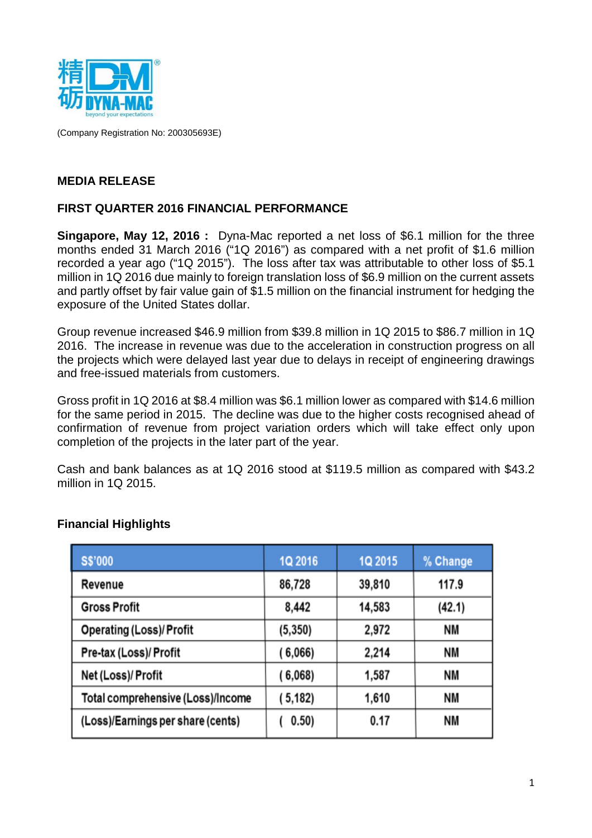

(Company Registration No: 200305693E)

### **MEDIA RELEASE**

### **FIRST QUARTER 2016 FINANCIAL PERFORMANCE**

**Singapore, May 12, 2016 :** Dyna-Mac reported a net loss of \$6.1 million for the three months ended 31 March 2016 ("1Q 2016") as compared with a net profit of \$1.6 million recorded a year ago ("1Q 2015"). The loss after tax was attributable to other loss of \$5.1 million in 1Q 2016 due mainly to foreign translation loss of \$6.9 million on the current assets and partly offset by fair value gain of \$1.5 million on the financial instrument for hedging the exposure of the United States dollar.

Group revenue increased \$46.9 million from \$39.8 million in 1Q 2015 to \$86.7 million in 1Q 2016. The increase in revenue was due to the acceleration in construction progress on all the projects which were delayed last year due to delays in receipt of engineering drawings and free-issued materials from customers.

Gross profit in 1Q 2016 at \$8.4 million was \$6.1 million lower as compared with \$14.6 million for the same period in 2015. The decline was due to the higher costs recognised ahead of confirmation of revenue from project variation orders which will take effect only upon completion of the projects in the later part of the year.

Cash and bank balances as at 1Q 2016 stood at \$119.5 million as compared with \$43.2 million in 1Q 2015.

| <b>S\$'000</b>                    | 1Q 2016  | 1Q 2015 | % Change  |
|-----------------------------------|----------|---------|-----------|
| Revenue                           | 86,728   | 39,810  | 117.9     |
| <b>Gross Profit</b>               | 8,442    | 14,583  | (42.1)    |
| <b>Operating (Loss)/ Profit</b>   | (5, 350) | 2,972   | NΜ        |
| Pre-tax (Loss)/ Profit            | (6,066)  | 2,214   | NΜ        |
| Net (Loss)/ Profit                | (6,068)  | 1,587   | NΜ        |
| Total comprehensive (Loss)/Income | (5,182)  | 1,610   | NΜ        |
| (Loss)/Earnings per share (cents) | 0.50)    | 0.17    | <b>NM</b> |

### **Financial Highlights**